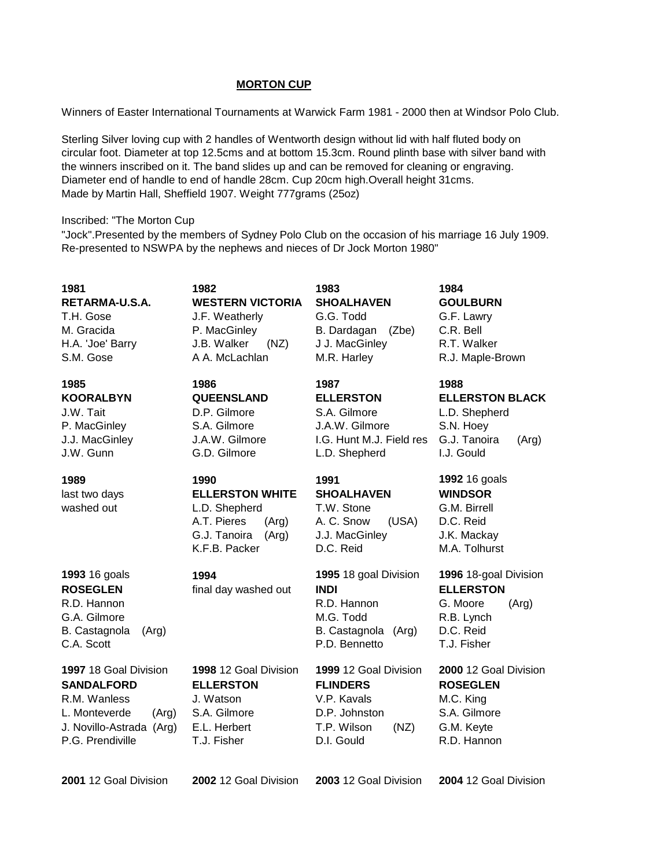### **MORTON CUP**

Winners of Easter International Tournaments at Warwick Farm 1981 - 2000 then at Windsor Polo Club.

Sterling Silver loving cup with 2 handles of Wentworth design without lid with half fluted body on circular foot. Diameter at top 12.5cms and at bottom 15.3cm. Round plinth base with silver band with the winners inscribed on it. The band slides up and can be removed for cleaning or engraving. Diameter end of handle to end of handle 28cm. Cup 20cm high.Overall height 31cms. Made by Martin Hall, Sheffield 1907. Weight 777grams (25oz)

### Inscribed: "The Morton Cup

"Jock".Presented by the members of Sydney Polo Club on the occasion of his marriage 16 July 1909. Re-presented to NSWPA by the nephews and nieces of Dr Jock Morton 1980"

| 1981<br>RETARMA-U.S.A.<br>T.H. Gose<br>M. Gracida<br>H.A. 'Joe' Barry<br>S.M. Gose                                                   | 1982<br><b>WESTERN VICTORIA</b><br>J.F. Weatherly<br>P. MacGinley<br>J.B. Walker<br>(NZ)<br>A A. McLachlan        | 1983<br><b>SHOALHAVEN</b><br>G.G. Todd<br>B. Dardagan<br>(Zbe)<br>J J. MacGinley<br>M.R. Harley               | 1984<br><b>GOULBURN</b><br>G.F. Lawry<br>C.R. Bell<br>R.T. Walker<br>R.J. Maple-Brown                    |
|--------------------------------------------------------------------------------------------------------------------------------------|-------------------------------------------------------------------------------------------------------------------|---------------------------------------------------------------------------------------------------------------|----------------------------------------------------------------------------------------------------------|
| 1985<br><b>KOORALBYN</b><br>J.W. Tait<br>P. MacGinley<br>J.J. MacGinley<br>J.W. Gunn                                                 | 1986<br><b>QUEENSLAND</b><br>D.P. Gilmore<br>S.A. Gilmore<br>J.A.W. Gilmore<br>G.D. Gilmore                       | 1987<br><b>ELLERSTON</b><br>S.A. Gilmore<br>J.A.W. Gilmore<br>I.G. Hunt M.J. Field res<br>L.D. Shepherd       | 1988<br><b>ELLERSTON BLACK</b><br>L.D. Shepherd<br>S.N. Hoey<br>G.J. Tanoira<br>(Arg)<br>I.J. Gould      |
| 1989<br>last two days<br>washed out                                                                                                  | 1990<br><b>ELLERSTON WHITE</b><br>L.D. Shepherd<br>A.T. Pieres<br>(Arg)<br>G.J. Tanoira<br>(Arg)<br>K.F.B. Packer | 1991<br><b>SHOALHAVEN</b><br>T.W. Stone<br>(USA)<br>A. C. Snow<br>J.J. MacGinley<br>D.C. Reid                 | 1992 16 goals<br><b>WINDSOR</b><br>G.M. Birrell<br>D.C. Reid<br>J.K. Mackay<br>M.A. Tolhurst             |
| <b>1993</b> 16 goals<br><b>ROSEGLEN</b><br>R.D. Hannon<br>G.A. Gilmore<br>B. Castagnola<br>(Arg)<br>C.A. Scott                       | 1994<br>final day washed out                                                                                      | 1995 18 goal Division<br><b>INDI</b><br>R.D. Hannon<br>M.G. Todd<br>B. Castagnola<br>(Arg)<br>P.D. Bennetto   | 1996 18-goal Division<br><b>ELLERSTON</b><br>G. Moore<br>(Arg)<br>R.B. Lynch<br>D.C. Reid<br>T.J. Fisher |
| 1997 18 Goal Division<br><b>SANDALFORD</b><br>R.M. Wanless<br>L. Monteverde<br>(Arg)<br>J. Novillo-Astrada (Arg)<br>P.G. Prendiville | 1998 12 Goal Division<br><b>ELLERSTON</b><br>J. Watson<br>S.A. Gilmore<br>E.L. Herbert<br>T.J. Fisher             | 1999 12 Goal Division<br><b>FLINDERS</b><br>V.P. Kavals<br>D.P. Johnston<br>T.P. Wilson<br>(NZ)<br>D.I. Gould | 2000 12 Goal Division<br><b>ROSEGLEN</b><br>M.C. King<br>S.A. Gilmore<br>G.M. Keyte<br>R.D. Hannon       |

**2001** 12 Goal Division **2002** 12 Goal Division **2003** 12 Goal Division **2004** 12 Goal Division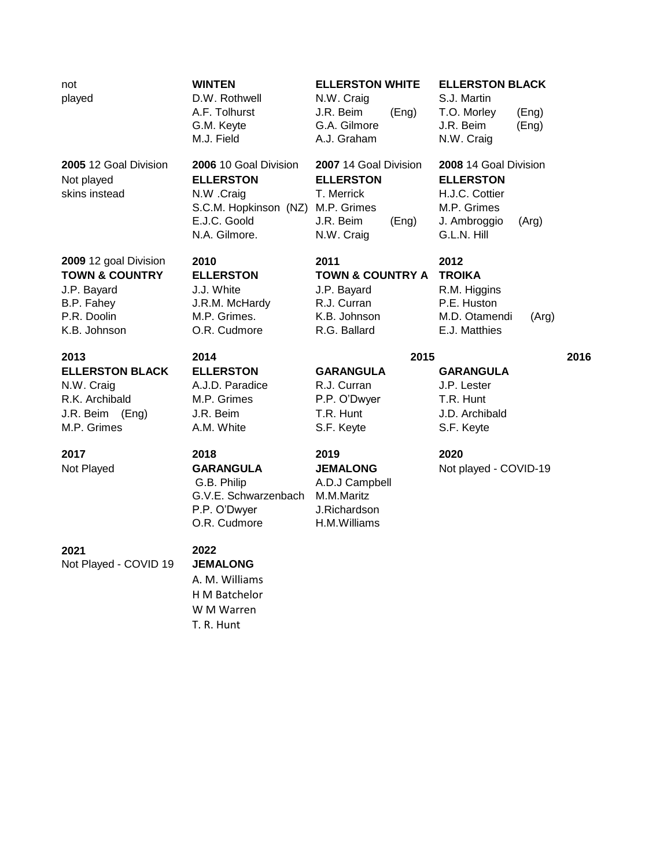**TOWN & COUNTRY ELLERSTON TOWN & COUNTRY A TROIKA** J.P. Bayard J.J. White J.P. Bayard R.M. Higgins B.P. Fahey **J.R.M. McHardy R.J. Curran P.E. Huston** 

**ELLERSTON BLACK ELLERSTON GARANGULA GARANGULA** N.W. Craig A.J.D. Paradice R.J. Curran J.P. Lester R.K. Archibald M.P. Grimes P.P. O'Dwyer T.R. Hunt J.R. Beim (Eng) J.R. Beim T.R. Hunt J.D. Archibald M.P. Grimes A.M. White S.F. Keyte S.F. Keyte

played **D.W. Rothwell M.W. Craig S.J. Martin** 

N.A. Gilmore. **N.W. Craig G.L.N. Hill** 

K.B. Johnson **C.R. Cudmore** R.G. Ballard **E.J. Matthies** 

# **2013 2014 2015 2016**

 G.B. Philip A.D.J Campbell G.V.E. Schwarzenbach M.M.Maritz P.P. O'Dwyer J.Richardson O.R. Cudmore H.M.Williams

# not **WINTEN ELLERSTON WHITE ELLERSTON BLACK**

A.F. Tolhurst J.R. Beim (Eng) T.O. Morley (Eng) G.M. Keyte **G.A.** Gilmore J.R. Beim (Eng) M.J. Field **A.J. Graham** N.W. Craig

**2005** 12 Goal Division **2006** 10 Goal Division **2007** 14 Goal Division **2008** 14 Goal Division Not played **ELLERSTON ELLERSTON ELLERSTON** skins instead **N.W.** Craig **T. Merrick H.J.C. Cottier** S.C.M. Hopkinson (NZ) M.P. Grimes M.P. Grimes E.J.C. Goold J.R. Beim (Eng) J. Ambroggio (Arg)

**2009** 12 goal Division **2010 2011 2012**

**2017 2018 2019 2020**

Not Played **GARANGULA JEMALONG** Not played - COVID-19

P.R. Doolin M.P. Grimes. K.B. Johnson M.D. Otamendi (Arg)

**2021 2022** Not Played - COVID 19 **JEMALONG**

A. M. Williams H M Batchelor

W M Warren

T. R. Hunt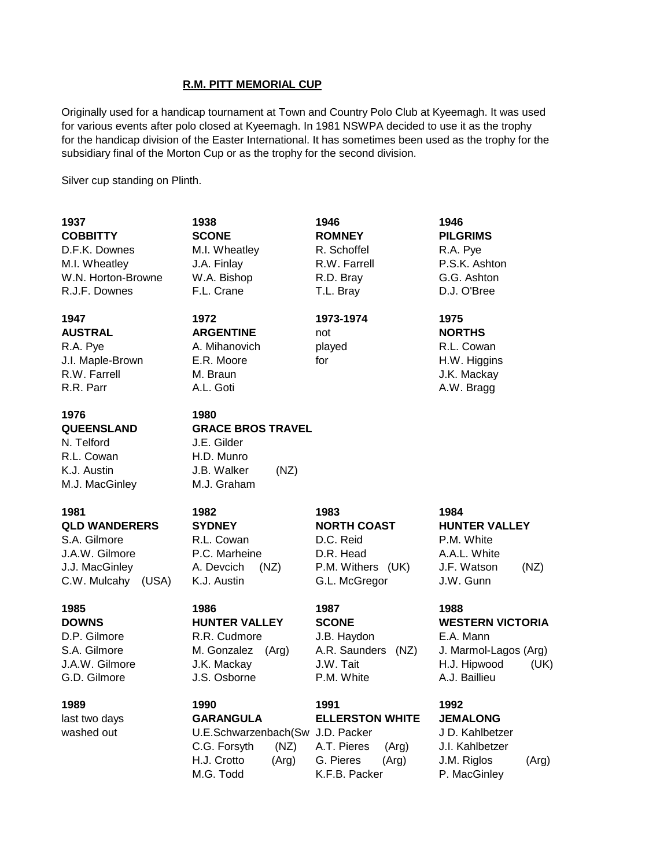### **R.M. PITT MEMORIAL CUP**

Originally used for a handicap tournament at Town and Country Polo Club at Kyeemagh. It was used for various events after polo closed at Kyeemagh. In 1981 NSWPA decided to use it as the trophy for the handicap division of the Easter International. It has sometimes been used as the trophy for the subsidiary final of the Morton Cup or as the trophy for the second division.

Silver cup standing on Plinth.

| 1937<br><b>COBBITTY</b><br>D.F.K. Downes<br>M.I. Wheatley<br>W.N. Horton-Browne<br>R.J.F. Downes       | 1938<br><b>SCONE</b><br>M.I. Wheatley<br>J.A. Finlay<br>W.A. Bishop<br>F.L. Crane                                         | 1946<br><b>ROMNEY</b><br>R. Schoffel<br>R.W. Farrell<br>R.D. Bray<br>T.L. Bray                | 1946<br><b>PILGRIMS</b><br>R.A. Pye<br>P.S.K. Ashton<br>G.G. Ashton<br>D.J. O'Bree                             |
|--------------------------------------------------------------------------------------------------------|---------------------------------------------------------------------------------------------------------------------------|-----------------------------------------------------------------------------------------------|----------------------------------------------------------------------------------------------------------------|
| 1947<br><b>AUSTRAL</b><br>R.A. Pye<br>J.I. Maple-Brown<br>R.W. Farrell<br>R.R. Parr                    | 1972<br><b>ARGENTINE</b><br>A. Mihanovich<br>E.R. Moore<br>M. Braun<br>A.L. Goti                                          | 1973-1974<br>not<br>played<br>for                                                             | 1975<br><b>NORTHS</b><br>R.L. Cowan<br>H.W. Higgins<br>J.K. Mackay<br>A.W. Bragg                               |
| 1976<br><b>QUEENSLAND</b><br>N. Telford<br>R.L. Cowan<br>K.J. Austin<br>M.J. MacGinley                 | 1980<br><b>GRACE BROS TRAVEL</b><br>J.E. Gilder<br>H.D. Munro<br>J.B. Walker<br>(NZ)<br>M.J. Graham                       |                                                                                               |                                                                                                                |
| 1981<br><b>QLD WANDERERS</b><br>S.A. Gilmore<br>J.A.W. Gilmore<br>J.J. MacGinley<br>C.W. Mulcahy (USA) | 1982<br><b>SYDNEY</b><br>R.L. Cowan<br>P.C. Marheine<br>A. Devcich<br>(NZ)<br>K.J. Austin                                 | 1983<br><b>NORTH COAST</b><br>D.C. Reid<br>D.R. Head<br>P.M. Withers (UK)<br>G.L. McGregor    | 1984<br><b>HUNTER VALLEY</b><br>P.M. White<br>A.A.L. White<br>J.F. Watson<br>(NZ)<br>J.W. Gunn                 |
| 1985<br><b>DOWNS</b><br>D.P. Gilmore<br>S.A. Gilmore<br>J.A.W. Gilmore<br>G.D. Gilmore                 | 1986<br><b>HUNTER VALLEY</b><br>R.R. Cudmore<br>M. Gonzalez<br>(Arg)<br>J.K. Mackay<br>J.S. Osborne                       | 1987<br><b>SCONE</b><br>J.B. Haydon<br>A.R. Saunders<br>(NZ)<br>J.W. Tait<br>P.M. White       | 1988<br><b>WESTERN VICTORIA</b><br>E.A. Mann<br>J. Marmol-Lagos (Arg)<br>H.J. Hipwood<br>(UK)<br>A.J. Baillieu |
| 1989<br>last two days<br>washed out                                                                    | 1990<br><b>GARANGULA</b><br>U.E.Schwarzenbach(Sw J.D. Packer<br>C.G. Forsyth<br>(NZ)<br>H.J. Crotto<br>(Arg)<br>M.G. Todd | 1991<br><b>ELLERSTON WHITE</b><br>A.T. Pieres<br>(Arg)<br>G. Pieres<br>(Arg)<br>K.F.B. Packer | 1992<br><b>JEMALONG</b><br>J D. Kahlbetzer<br>J.I. Kahlbetzer<br>J.M. Riglos<br>(Arg)<br>P. MacGinley          |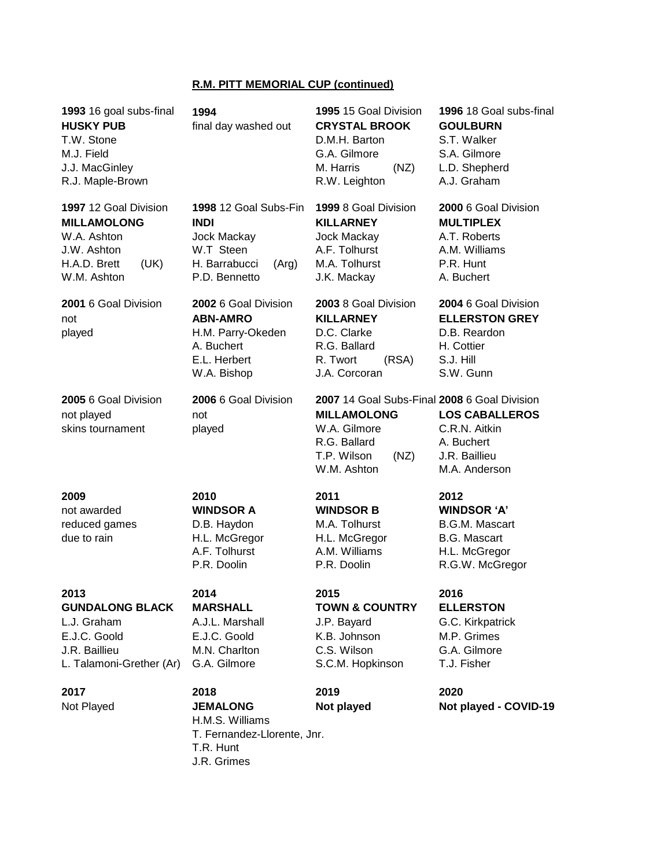# **R.M. PITT MEMORIAL CUP (continued)**

| 1993 16 goal subs-final<br><b>HUSKY PUB</b><br>T.W. Stone<br>M.J. Field<br>J.J. MacGinley<br>R.J. Maple-Brown    | 1994<br>final day washed out                                                                                | 1995 15 Goal Division<br><b>CRYSTAL BROOK</b><br>D.M.H. Barton<br>G.A. Gilmore<br>M. Harris<br>(NZ)<br>R.W. Leighton                     | 1996 18 Goal subs-final<br><b>GOULBURN</b><br>S.T. Walker<br>S.A. Gilmore<br>L.D. Shepherd<br>A.J. Graham      |
|------------------------------------------------------------------------------------------------------------------|-------------------------------------------------------------------------------------------------------------|------------------------------------------------------------------------------------------------------------------------------------------|----------------------------------------------------------------------------------------------------------------|
| 1997 12 Goal Division<br><b>MILLAMOLONG</b><br>W.A. Ashton<br>J.W. Ashton<br>H.A.D. Brett<br>(UK)<br>W.M. Ashton | 1998 12 Goal Subs-Fin<br><b>INDI</b><br>Jock Mackay<br>W.T Steen<br>H. Barrabucci<br>(Arg)<br>P.D. Bennetto | 1999 8 Goal Division<br><b>KILLARNEY</b><br><b>Jock Mackay</b><br>A.F. Tolhurst<br>M.A. Tolhurst<br>J.K. Mackay                          | 2000 6 Goal Division<br><b>MULTIPLEX</b><br>A.T. Roberts<br>A.M. Williams<br>P.R. Hunt<br>A. Buchert           |
| 2001 6 Goal Division<br>not<br>played                                                                            | 2002 6 Goal Division<br><b>ABN-AMRO</b><br>H.M. Parry-Okeden<br>A. Buchert<br>E.L. Herbert<br>W.A. Bishop   | 2003 8 Goal Division<br><b>KILLARNEY</b><br>D.C. Clarke<br>R.G. Ballard<br>R. Twort<br>(RSA)<br>J.A. Corcoran                            | 2004 6 Goal Division<br><b>ELLERSTON GREY</b><br>D.B. Reardon<br>H. Cottier<br>S.J. Hill<br>S.W. Gunn          |
| 2005 6 Goal Division<br>not played<br>skins tournament                                                           | 2006 6 Goal Division<br>not<br>played                                                                       | 2007 14 Goal Subs-Final 2008 6 Goal Division<br><b>MILLAMOLONG</b><br>W.A. Gilmore<br>R.G. Ballard<br>T.P. Wilson<br>(NZ)<br>W.M. Ashton | <b>LOS CABALLEROS</b><br>C.R.N. Aitkin<br>A. Buchert<br>J.R. Baillieu<br>M.A. Anderson                         |
| 2009<br>not awarded<br>reduced games<br>due to rain                                                              | 2010<br><b>WINDSOR A</b><br>D.B. Haydon<br>H.L. McGregor<br>A.F. Tolhurst<br>P.R. Doolin                    | 2011<br><b>WINDSOR B</b><br>M.A. Tolhurst<br>H.L. McGregor<br>A.M. Williams<br>P.R. Doolin                                               | 2012<br><b>WINDSOR 'A'</b><br><b>B.G.M. Mascart</b><br><b>B.G. Mascart</b><br>H.L. McGregor<br>R.G.W. McGregor |
| 2013<br><b>GUNDALONG BLACK</b><br>L.J. Graham<br>E.J.C. Goold<br>J.R. Baillieu<br>L. Talamoni-Grether (Ar)       | 2014<br><b>MARSHALL</b><br>A.J.L. Marshall<br>E.J.C. Goold<br>M.N. Charlton<br>G.A. Gilmore                 | 2015<br><b>TOWN &amp; COUNTRY</b><br>J.P. Bayard<br>K.B. Johnson<br>C.S. Wilson<br>S.C.M. Hopkinson                                      | 2016<br><b>ELLERSTON</b><br>G.C. Kirkpatrick<br>M.P. Grimes<br>G.A. Gilmore<br>T.J. Fisher                     |

**2017 2018 2019 2020** Not Played **JEMALONG Not played Not played - COVID-19** H.M.S. Williams T. Fernandez-Llorente, Jnr. T.R. Hunt J.R. Grimes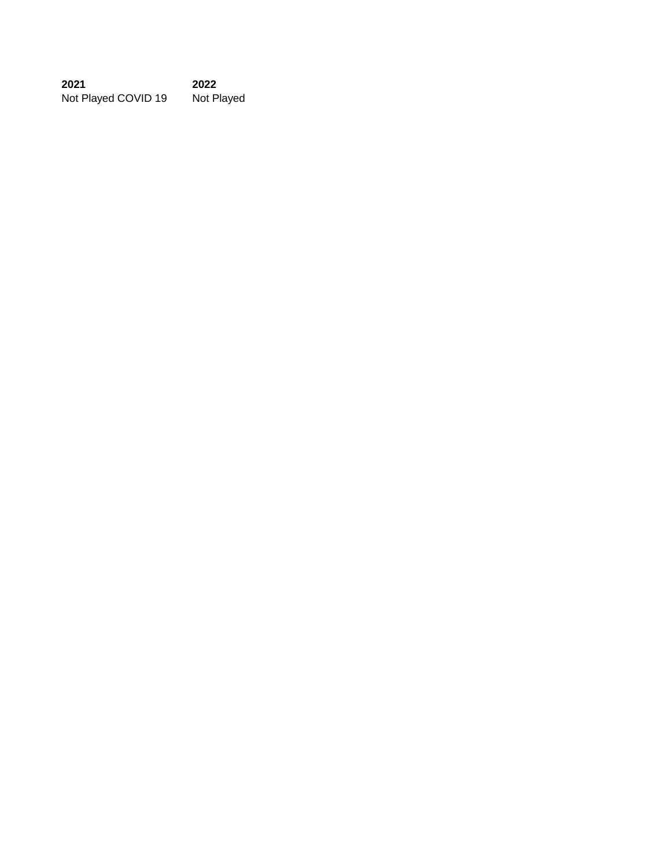**2021 2022** Not Played COVID 19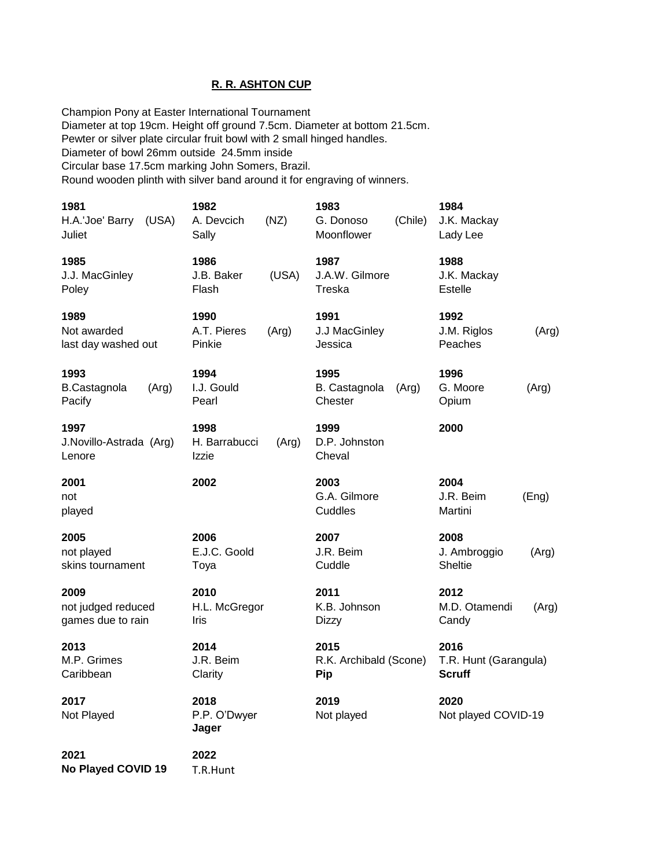### **R. R. ASHTON CUP**

Champion Pony at Easter International Tournament Diameter at top 19cm. Height off ground 7.5cm. Diameter at bottom 21.5cm. Pewter or silver plate circular fruit bowl with 2 small hinged handles. Diameter of bowl 26mm outside 24.5mm inside Circular base 17.5cm marking John Somers, Brazil. Round wooden plinth with silver band around it for engraving of winners.

| 1981<br>H.A.'Joe' Barry<br>(USA)<br>Juliet      | 1982<br>A. Devcich<br>Sally    | (NZ)  | 1983<br>G. Donoso<br>Moonflower       | (Chile) | 1984<br>J.K. Mackay<br>Lady Lee                |       |
|-------------------------------------------------|--------------------------------|-------|---------------------------------------|---------|------------------------------------------------|-------|
| 1985<br>J.J. MacGinley<br>Poley                 | 1986<br>J.B. Baker<br>Flash    | (USA) | 1987<br>J.A.W. Gilmore<br>Treska      |         | 1988<br>J.K. Mackay<br><b>Estelle</b>          |       |
| 1989<br>Not awarded<br>last day washed out      | 1990<br>A.T. Pieres<br>Pinkie  | (Arg) | 1991<br>J.J MacGinley<br>Jessica      |         | 1992<br>J.M. Riglos<br>Peaches                 | (Arg) |
| 1993<br><b>B.Castagnola</b><br>(Arg)<br>Pacify  | 1994<br>I.J. Gould<br>Pearl    |       | 1995<br>B. Castagnola<br>Chester      | (Arg)   | 1996<br>G. Moore<br>Opium                      | (Arg) |
| 1997<br>J.Novillo-Astrada (Arg)<br>Lenore       | 1998<br>H. Barrabucci<br>Izzie | (Arg) | 1999<br>D.P. Johnston<br>Cheval       |         | 2000                                           |       |
| 2001<br>not<br>played                           | 2002                           |       | 2003<br>G.A. Gilmore<br>Cuddles       |         | 2004<br>J.R. Beim<br>Martini                   | (Eng) |
| 2005<br>not played<br>skins tournament          | 2006<br>E.J.C. Goold<br>Toya   |       | 2007<br>J.R. Beim<br>Cuddle           |         | 2008<br>J. Ambroggio<br>Sheltie                | (Arg) |
| 2009<br>not judged reduced<br>games due to rain | 2010<br>H.L. McGregor<br>Iris  |       | 2011<br>K.B. Johnson<br><b>Dizzy</b>  |         | 2012<br>M.D. Otamendi<br>Candy                 | (Arg) |
| 2013<br>M.P. Grimes<br>Caribbean                | 2014<br>J.R. Beim<br>Clarity   |       | 2015<br>R.K. Archibald (Scone)<br>Pip |         | 2016<br>T.R. Hunt (Garangula)<br><b>Scruff</b> |       |
| 2017<br>Not Played                              | 2018<br>P.P. O'Dwyer<br>Jager  |       | 2019<br>Not played                    |         | 2020<br>Not played COVID-19                    |       |

**2021 2022 No Played COVID 19** T.R.Hunt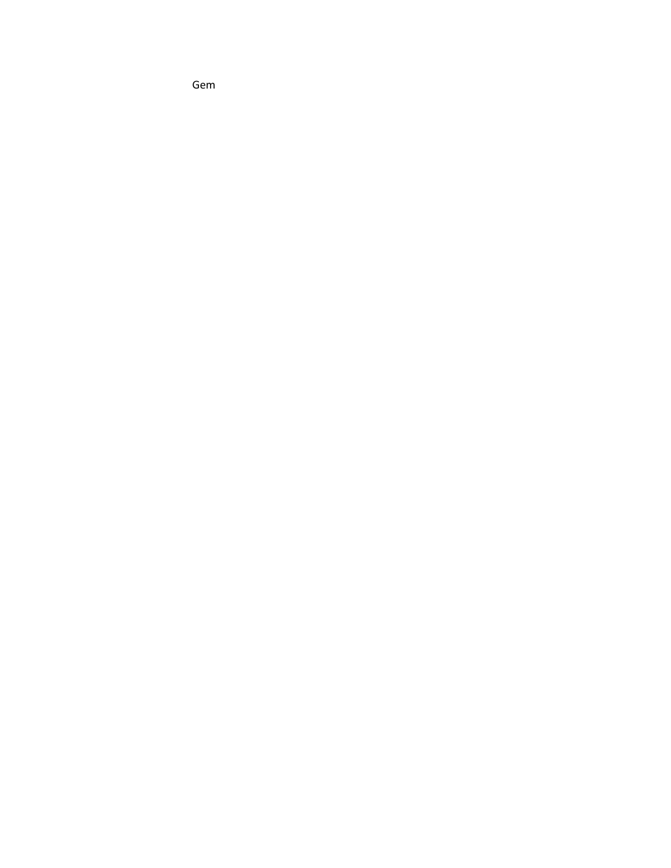Gem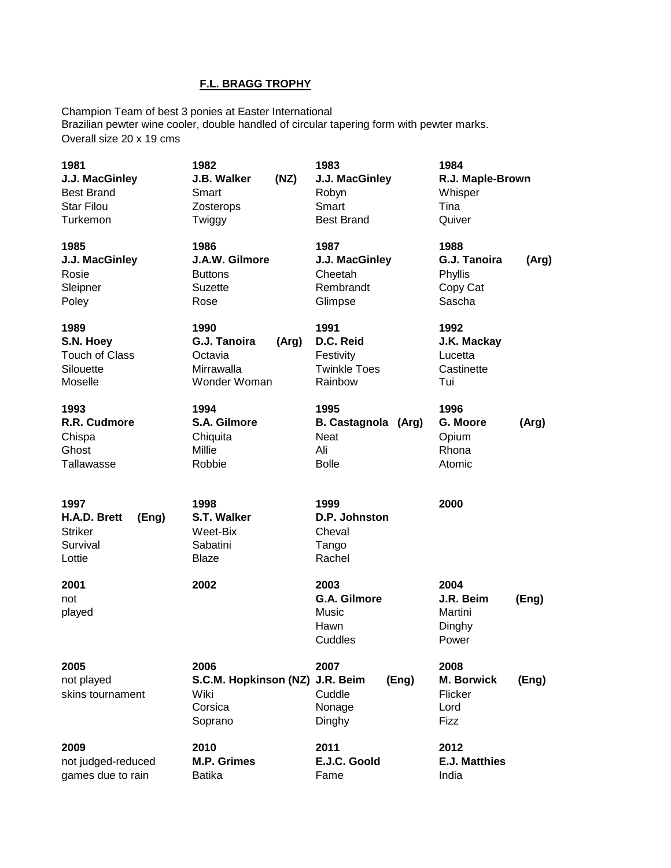# **F.L. BRAGG TROPHY**

Champion Team of best 3 ponies at Easter International Brazilian pewter wine cooler, double handled of circular tapering form with pewter marks. Overall size 20 x 19 cms

| 1981<br>J.J. MacGinley<br><b>Best Brand</b><br><b>Star Filou</b><br>Turkemon | 1982<br>J.B. Walker<br>(NZ)<br>Smart<br>Zosterops<br>Twiggy            | 1983<br>J.J. MacGinley<br>Robyn<br>Smart<br><b>Best Brand</b>        | 1984<br>R.J. Maple-Brown<br>Whisper<br>Tina<br>Quiver          |
|------------------------------------------------------------------------------|------------------------------------------------------------------------|----------------------------------------------------------------------|----------------------------------------------------------------|
| 1985<br>J.J. MacGinley<br>Rosie<br>Sleipner<br>Poley                         | 1986<br>J.A.W. Gilmore<br><b>Buttons</b><br><b>Suzette</b><br>Rose     | 1987<br>J.J. MacGinley<br>Cheetah<br>Rembrandt<br>Glimpse            | 1988<br>G.J. Tanoira<br>(Arg)<br>Phyllis<br>Copy Cat<br>Sascha |
| 1989<br>S.N. Hoey<br><b>Touch of Class</b><br>Silouette<br>Moselle           | 1990<br>G.J. Tanoira<br>(Arg)<br>Octavia<br>Mirrawalla<br>Wonder Woman | 1991<br>D.C. Reid<br>Festivity<br><b>Twinkle Toes</b><br>Rainbow     | 1992<br>J.K. Mackay<br>Lucetta<br>Castinette<br>Tui            |
| 1993<br>R.R. Cudmore<br>Chispa<br>Ghost<br>Tallawasse                        | 1994<br>S.A. Gilmore<br>Chiquita<br>Millie<br>Robbie                   | 1995<br><b>B. Castagnola</b><br>(Arg)<br>Neat<br>Ali<br><b>Bolle</b> | 1996<br>G. Moore<br>(Arg)<br>Opium<br>Rhona<br>Atomic          |
| 1997<br>H.A.D. Brett<br>(Eng)<br><b>Striker</b><br>Survival<br>Lottie        | 1998<br>S.T. Walker<br>Weet-Bix<br>Sabatini<br>Blaze                   | 1999<br>D.P. Johnston<br>Cheval<br>Tango<br>Rachel                   | 2000                                                           |
| 2001<br>not<br>played                                                        | 2002                                                                   | 2003<br>G.A. Gilmore<br>Music<br>Hawn<br>Cuddles                     | 2004<br>J.R. Beim<br>(Eng)<br>Martini<br>Dinghy<br>Power       |
| 2005<br>not played<br>skins tournament                                       | 2006<br>S.C.M. Hopkinson (NZ) J.R. Beim<br>Wiki<br>Corsica<br>Soprano  | 2007<br>(Eng)<br>Cuddle<br>Nonage<br>Dinghy                          | 2008<br><b>M. Borwick</b><br>(Eng)<br>Flicker<br>Lord<br>Fizz  |
| 2009<br>not judged-reduced<br>games due to rain                              | 2010<br><b>M.P. Grimes</b><br><b>Batika</b>                            | 2011<br>E.J.C. Goold<br>Fame                                         | 2012<br><b>E.J. Matthies</b><br>India                          |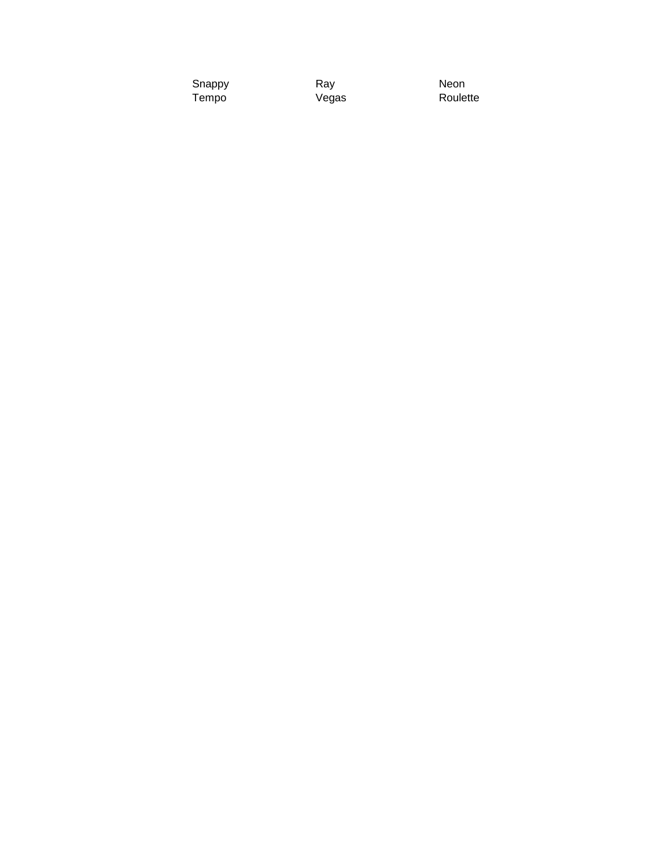| Snappy | Ray   | Neon     |
|--------|-------|----------|
| Tempo  | Vegas | Roulette |